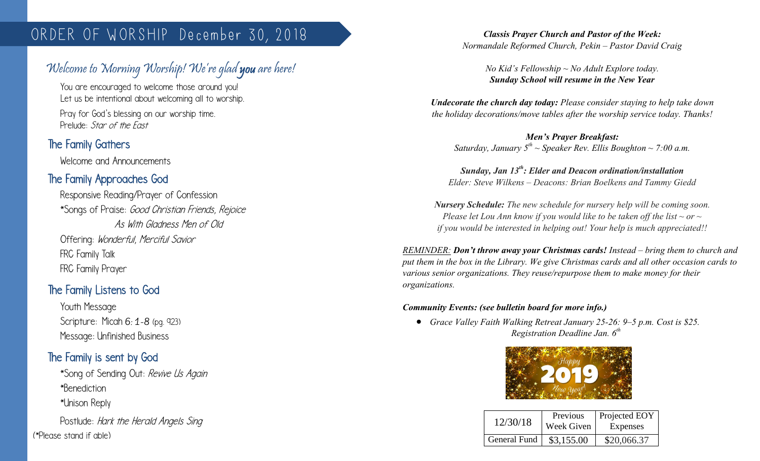# ORDER OF WORSHIP December 30, 2018

# Welcome to Morning Worship! We're glad you are here!

You are encouraged to welcome those around you! Let us be intentional about welcoming all to worship.

Pray for God's blessing on our worship time. Prelude: Star of the Fast

# The Family Gathers

 $\overline{\phantom{a}}$ 

Welcome and Announcements

## The Family Approaches God

Responsive Reading/Prayer of Confession \*Songs of Praise: Good Christian Friends, Rejoice As With Gladness Men of Old Offering: Wonderful, Merciful Savior FRC Family Talk FRC Family Prayer

## The Family Listens to God

Youth Message Scripture: Micah 6: 1-8 (pg. 923) Message: Unfinished Business

## The Family is sent by God

\*Song of Sending Out: Revive Us Again \*Benediction \*Unison Reply

Postlude: Hark the Herald Angels Sing (\*Please stand if able)

*Classis Prayer Church and Pastor of the Week: Normandale Reformed Church, Pekin – Pastor David Craig*

> *No Kid's Fellowship ~ No Adult Explore today. Sunday School will resume in the New Year*

*Undecorate the church day today: Please consider staying to help take down the holiday decorations/move tables after the worship service today. Thanks!*

*Men's Prayer Breakfast: Saturday, January 5th ~ Speaker Rev. Ellis Boughton ~ 7:00 a.m.*

*Sunday, Jan 13th: Elder and Deacon ordination/installation Elder: Steve Wilkens – Deacons: Brian Boelkens and Tammy Giedd*

*Nursery Schedule: The new schedule for nursery help will be coming soon. Please let Lou Ann know if you would like to be taken off the list ~ or ~ if you would be interested in helping out! Your help is much appreciated!!*

*REMINDER: Don't throw away your Christmas cards! Instead – bring them to church and put them in the box in the Library. We give Christmas cards and all other occasion cards to various senior organizations. They reuse/repurpose them to make money for their organizations.* 

#### *Community Events: (see bulletin board for more info.)*

 *Grace Valley Faith Walking Retreat January 25-26: 9–5 p.m. Cost is \$25. Registration Deadline Jan. 6th*



| 12/30/18            | Previous<br>Week Given | Projected EOY<br>Expenses |
|---------------------|------------------------|---------------------------|
| <b>General Fund</b> | \$3,155.00             | \$20,066.37               |